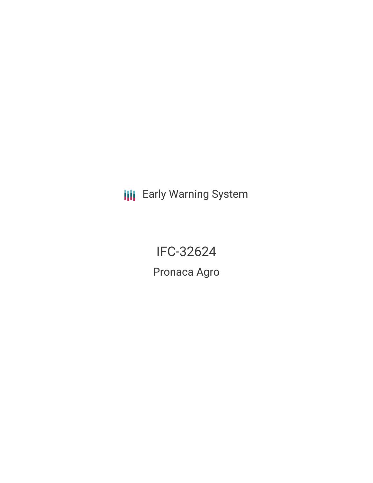**III** Early Warning System

IFC-32624 Pronaca Agro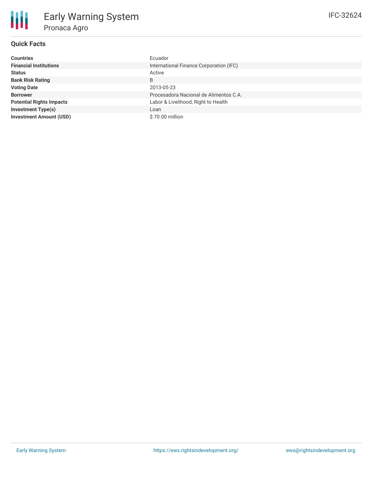# **Quick Facts**

朋

| <b>Countries</b>                | Ecuador                                 |
|---------------------------------|-----------------------------------------|
| <b>Financial Institutions</b>   | International Finance Corporation (IFC) |
| <b>Status</b>                   | Active                                  |
| <b>Bank Risk Rating</b>         | B                                       |
| <b>Voting Date</b>              | 2013-05-23                              |
| <b>Borrower</b>                 | Procesadora Nacional de Alimentos C.A.  |
| <b>Potential Rights Impacts</b> | Labor & Livelihood, Right to Health     |
| <b>Investment Type(s)</b>       | Loan                                    |
| <b>Investment Amount (USD)</b>  | \$70.00 million                         |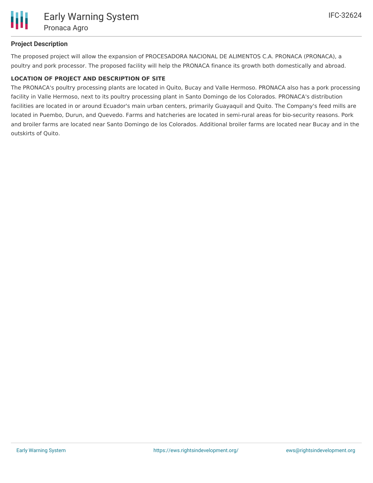# **Project Description**

The proposed project will allow the expansion of PROCESADORA NACIONAL DE ALIMENTOS C.A. PRONACA (PRONACA), a poultry and pork processor. The proposed facility will help the PRONACA finance its growth both domestically and abroad.

# **LOCATION OF PROJECT AND DESCRIPTION OF SITE**

The PRONACA's poultry processing plants are located in Quito, Bucay and Valle Hermoso. PRONACA also has a pork processing facility in Valle Hermoso, next to its poultry processing plant in Santo Domingo de los Colorados. PRONACA's distribution facilities are located in or around Ecuador's main urban centers, primarily Guayaquil and Quito. The Company's feed mills are located in Puembo, Durun, and Quevedo. Farms and hatcheries are located in semi-rural areas for bio-security reasons. Pork and broiler farms are located near Santo Domingo de los Colorados. Additional broiler farms are located near Bucay and in the outskirts of Quito.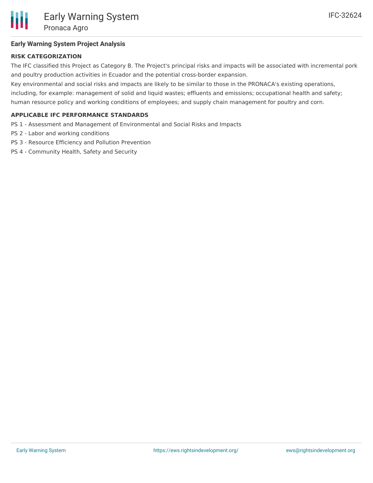

# **Early Warning System Project Analysis**

## **RISK CATEGORIZATION**

The IFC classified this Project as Category B. The Project's principal risks and impacts will be associated with incremental pork and poultry production activities in Ecuador and the potential cross-border expansion.

Key environmental and social risks and impacts are likely to be similar to those in the PRONACA's existing operations, including, for example: management of solid and liquid wastes; effluents and emissions; occupational health and safety; human resource policy and working conditions of employees; and supply chain management for poultry and corn.

## **APPLICABLE IFC PERFORMANCE STANDARDS**

- PS 1 Assessment and Management of Environmental and Social Risks and Impacts
- PS 2 Labor and working conditions
- PS 3 Resource Efficiency and Pollution Prevention
- PS 4 Community Health, Safety and Security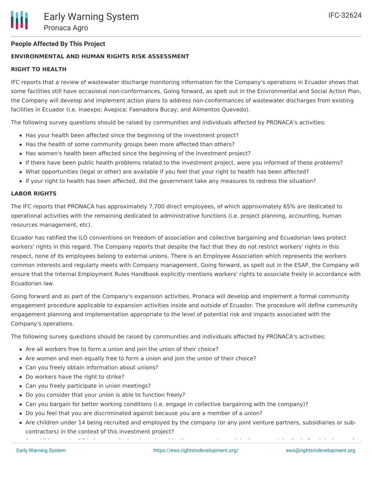# **People Affected By This Project**

### **ENVIRONMENTAL AND HUMAN RIGHTS RISK ASSESSMENT**

#### **RIGHT TO HEALTH**

IFC reports that a review of wastewater discharge monitoring information for the Company's operations in Ecuador shows that some facilities still have occasional non-conformances. Going forward, as spelt out in the Enivronmental and Social Action Plan, the Company will develop and implement action plans to address non-conformances of wastewater discharges from existing facilities in Ecuador (i.e. Inaexpo; Avepica; Faenadora Bucay; and Alimentos Quevedo).

The following survey questions should be raised by communities and individuals affected by PRONACA's activities:

- Has your health been affected since the beginning of the investment project?
- Has the health of some community groups been more affected than others?
- Has women's health been affected since the beginning of the investment project?
- If there have been public health problems related to the investment project, were you informed of these problems?
- What opportunities (legal or other) are available if you feel that your right to health has been affected?
- If your right to health has been affected, did the government take any measures to redress the situation?

#### **LABOR RIGHTS**

The IFC reports that PRONACA has approximately 7,700 direct employees, of which approximately 65% are dedicated to operational activities with the remaining dedicated to administrative functions (i.e. project planning, accounting, human resources management, etc).

Ecuador has ratified the ILO conventions on freedom of association and collective bargaining and Ecuadorian laws protect workers' rights in this regard. The Company reports that despite the fact that they do not restrict workers' rights in this respect, none of its employees belong to external unions. There is an Employee Association which represents the workers common interests and regularly meets with Company management. Going forward, as spelt out in the ESAP, the Company will ensure that the Internal Employment Rules Handbook explicitly mentions workers' rights to associate freely in accordance with Ecuadorian law.

Going forward and as part of the Company's expansion activities, Pronaca will develop and implement a formal community engagement procedure applicable to expansion activities inside and outside of Ecuador. The procedure will define community engagement planning and implementation appropriate to the level of potential risk and impacts associated with the Company's operations.

The following survey questions should be raised by communities and individuals affected by PRONACA's activities:

- Are all workers free to form a union and join the union of their choice?
- Are women and men equally free to form a union and join the union of their choice?
- Can you freely obtain information about unions?
- Do workers have the right to strike?
- Can you freely participate in union meetings?
- Do you consider that your union is able to function freely?
- Can you bargain for better working conditions (i.e. engage in collective bargaining with the company)?
- Do you feel that you are discriminated against because you are a member of a union?
- Are children under 14 being recruited and employed by the company (or any joint venture partners, subsidiaries or subcontractors) in the context of this investment project?

Are children under 18 being recruited and employed by the company to work in dangerous jobs (including jobs in unsafe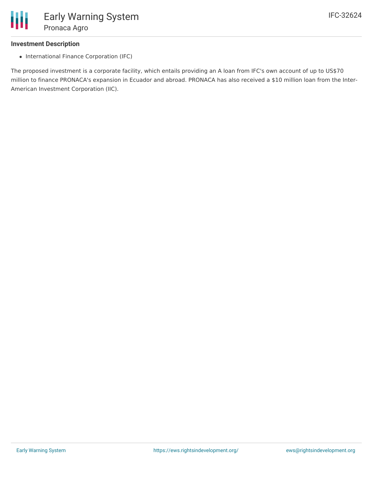

#### **Investment Description**

• International Finance Corporation (IFC)

The proposed investment is a corporate facility, which entails providing an A loan from IFC's own account of up to US\$70 million to finance PRONACA's expansion in Ecuador and abroad. PRONACA has also received a \$10 million loan from the Inter-American Investment Corporation (IIC).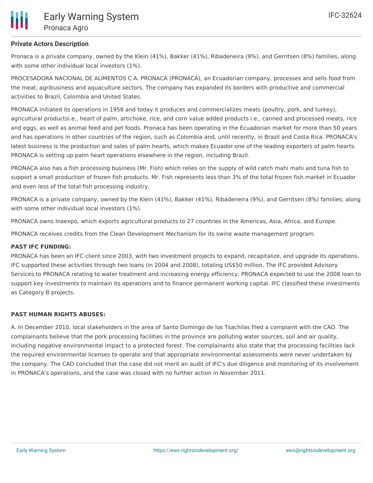

# **Private Actors Description**

Pronaca is a private company, owned by the Klein (41%), Bakker (41%), Ribadeneira (9%), and Gerritsen (8%) families, along with some other individual local investors (1%).

PROCESADORA NACIONAL DE ALIMENTOS C.A. PRONACA (PRONACA), an Ecuadorian company, processes and sells food from the meat, agribusiness and aquaculture sectors. The company has expanded its borders with productive and commercial activities to Brazil, Colombia and United States.

PRONACA initiated its operations in 1958 and today it produces and commercializes meats (poultry, pork, and turkey), agricultural productsi.e., heart of palm, artichoke, rice, and corn value added products i.e., canned and processed meats, rice and eggs, as well as animal feed and pet foods. Pronaca has been operating in the Ecuadorian market for more than 50 years and has operations in other countries of the region, such as Colombia and, until recently, in Brazil and Costa Rica. PRONACA's latest business is the production and sales of palm hearts, which makes Ecuador one of the leading exporters of palm hearts. PRONACA is setting up palm heart operations elsewhere in the region, including Brazil.

PRONACA also has a fish processing business (Mr. Fish) which relies on the supply of wild catch mahi mahi and tuna fish to support a small production of frozen fish products. Mr. Fish represents less than 3% of the total frozen fish market in Ecuador and even less of the total fish processing industry.

PRONACA is a private company, owned by the Klein (41%), Bakker (41%), Ribadeneira (9%), and Gerritsen (8%) families, along with some other individual local investors (1%).

PRONACA owns Inaexpo, which exports agricultural products to 27 countries in the Americas, Asia, Africa, and Europe.

PRONACA receives credits from the Clean Development Mechanism for its swine waste management program.

#### **PAST IFC FUNDING:**

PRONACA has been an IFC client since 2003, with two investment projects to expand, recapitalize, and upgrade its operations. IFC supported these activities through two loans (in 2004 and 2008), totaling US\$50 million. The IFC provided Advisory Services to PRONACA relating to water treatment and increasing energy efficiency. PRONACA expected to use the 2008 loan to support key investments to maintain its operations and to finance permanent working capital. IFC classified these investments as Category B projects.

#### **PAST HUMAN RIGHTS ABUSES:**

A. In December 2010, local stakeholders in the area of Santo Domingo de los Tsachilas filed a complaint with the CAO. The complainants believe that the pork processing facilities in the province are polluting water sources, soil and air quality, including negative environmental impact to a protected forest. The complainants also state that the processing facilities lack the required environmental licenses to operate and that appropriate environmental assessments were never undertaken by the company. The CAO concluded that the case did not merit an audit of IFC's due diligence and monitoring of its involvement in PRONACA's operations, and the case was closed with no further action in November 2011.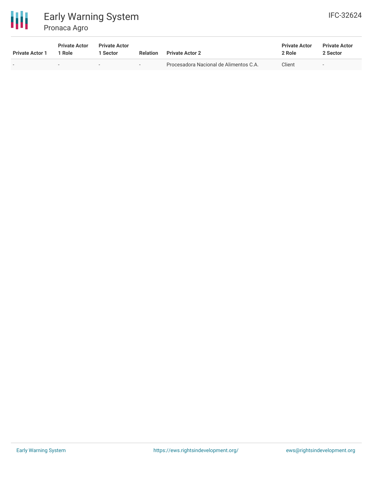

# Early Warning System Pronaca Agro

| <b>IFC-32624</b> |
|------------------|
|                  |

| <b>Private Actor 1</b>   | <b>Private Actor</b><br>1 Role | <b>Private Actor</b><br>Sector | <b>Relation</b>          | <b>Private Actor 2</b>                 | <b>Private Actor</b><br>2 Role | <b>Private Actor</b><br>2 Sector |  |
|--------------------------|--------------------------------|--------------------------------|--------------------------|----------------------------------------|--------------------------------|----------------------------------|--|
| $\overline{\phantom{0}}$ | $\overline{\phantom{0}}$       |                                | $\overline{\phantom{0}}$ | Procesadora Nacional de Alimentos C.A. | Client                         | $\overline{\phantom{a}}$         |  |